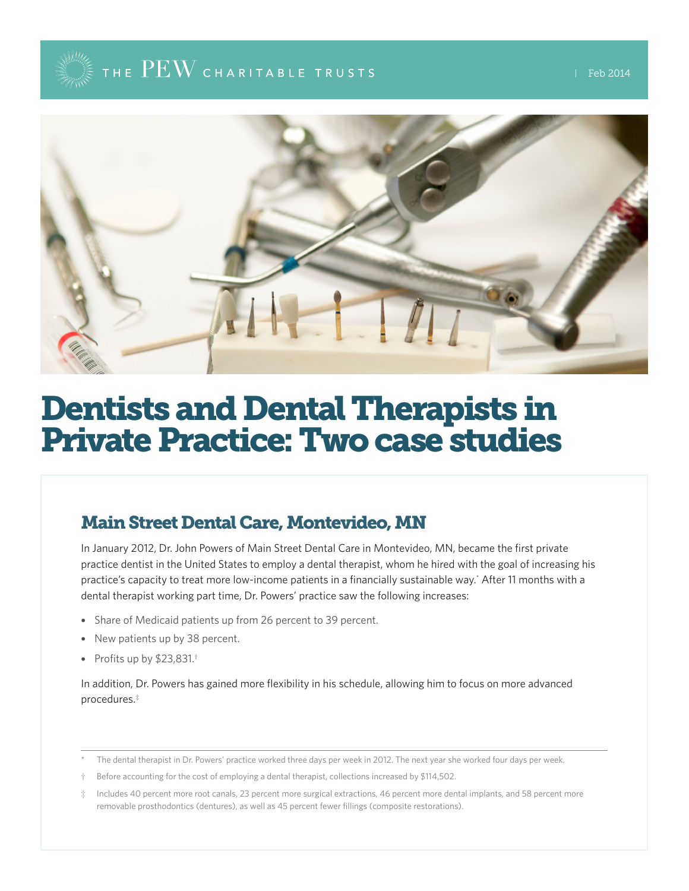## THE  $\mathrm{PEW}$  charitable trusts



# Dentists and Dental Therapists in Private Practice: Two case studies

### Main Street Dental Care, Montevideo, MN

In January 2012, Dr. John Powers of Main Street Dental Care in Montevideo, MN, became the first private practice dentist in the United States to employ a dental therapist, whom he hired with the goal of increasing his practice's capacity to treat more low-income patients in a financially sustainable way.\* After 11 months with a dental therapist working part time, Dr. Powers' practice saw the following increases:

- Share of Medicaid patients up from 26 percent to 39 percent.
- New patients up by 38 percent.
- Profits up by \$23,831.<sup>†</sup>

In addition, Dr. Powers has gained more flexibility in his schedule, allowing him to focus on more advanced procedures.‡

The dental therapist in Dr. Powers' practice worked three days per week in 2012. The next year she worked four days per week.

Before accounting for the cost of employing a dental therapist, collections increased by \$114,502.

Includes 40 percent more root canals, 23 percent more surgical extractions, 46 percent more dental implants, and 58 percent more removable prosthodontics (dentures), as well as 45 percent fewer fillings (composite restorations).